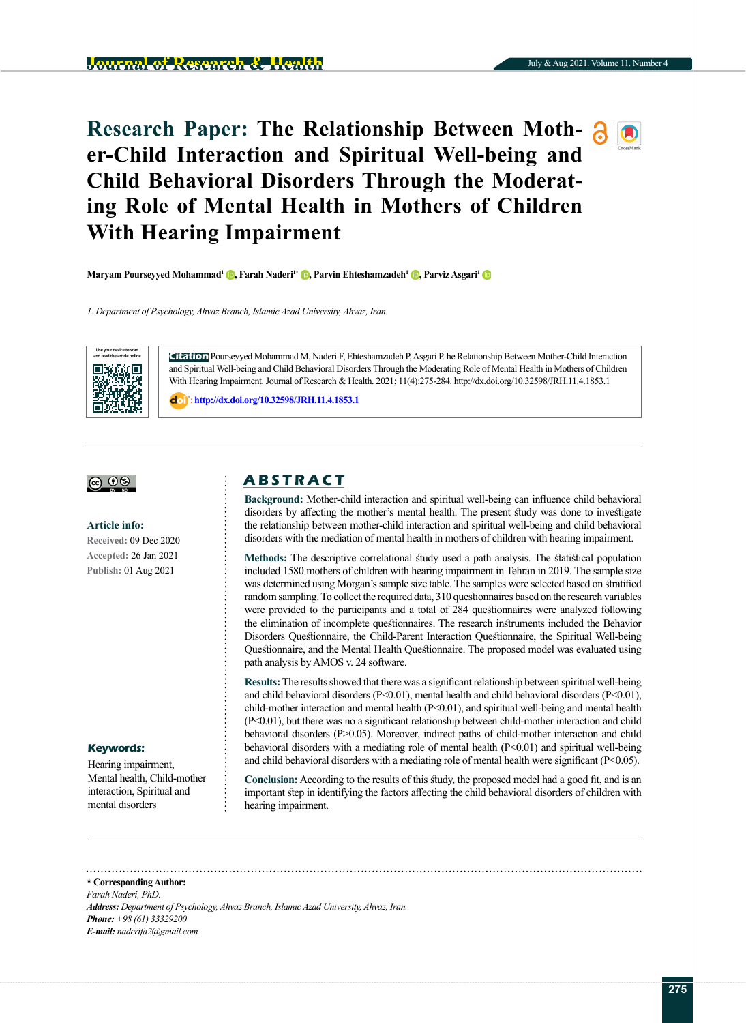# **Research Paper: The Relationship Between Moth- 30 er-Child Interaction and Spiritual Well-being and Child Behavioral Disorders Through the Moderating Role of Mental Health in Mothers of Children With Hearing Impairment**

**Maryam Pourseyyed Mohammad<sup>[1](https://orcid.org/0000-0002-8369-0881)</sup> <b>. Farah Naderi<sup>1\*</sup> <b>.** Parvin Ehteshamzadeh<sup>1</sup> **.** Parviz Asgari<sup>1</sup> **.** 

*1. Department of Psychology, Ahvaz Branch, Islamic Azad University, Ahvaz, Iran.*



**Citation** Pourseyyed Mohammad M, Naderi F, Ehteshamzadeh P, Asgari P. he Relationship Between Mother-Child Interaction and Spiritual Well-being and Child Behavioral Disorders Through the Moderating Role of Mental Health in Mothers of Children With Hearing Impairment. Journal of Research & Health. 2021; 11(4):275-284. http://dx.doi.org/10.32598/JRH.11.4.1853.1

: **<http://dx.doi.org/10.32598/JRH.11.4.1853.1>**

## |@ 0

#### **Article info:**

**Received:** 09 Dec 2020 **Accepted:** 26 Jan 2021 **Publish:** 01 Aug 2021

#### **Keywords:**

Hearing impairment, Mental health, Child-mother interaction, Spiritual and mental disorders

# **A B S T R A C T**

**Background:** Mother-child interaction and spiritual well-being can influence child behavioral disorders by affecting the mother's mental health. The present study was done to investigate the relationship between mother-child interaction and spiritual well-being and child behavioral disorders with the mediation of mental health in mothers of children with hearing impairment.

**Methods:** The descriptive correlational study used a path analysis. The statistical population included 1580 mothers of children with hearing impairment in Tehran in 2019. The sample size was determined using Morgan's sample size table. The samples were selected based on stratified random sampling. To collect the required data, 310 questionnaires based on the research variables were provided to the participants and a total of 284 questionnaires were analyzed following the elimination of incomplete questionnaires. The research instruments included the Behavior Disorders Questionnaire, the Child-Parent Interaction Questionnaire, the Spiritual Well-being Questionnaire, and the Mental Health Questionnaire. The proposed model was evaluated using path analysis by AMOS v. 24 software.

**Results:** The results showed that there was a significant relationship between spiritual well-being and child behavioral disorders (P<0.01), mental health and child behavioral disorders (P<0.01), child-mother interaction and mental health  $(P< 0.01)$ , and spiritual well-being and mental health (P<0.01), but there was no a significant relationship between child-mother interaction and child behavioral disorders (P>0.05). Moreover, indirect paths of child-mother interaction and child behavioral disorders with a mediating role of mental health  $(P< 0.01)$  and spiritual well-being and child behavioral disorders with a mediating role of mental health were significant (P<0.05).

**Conclusion:** According to the results of this study, the proposed model had a good fit, and is an important step in identifying the factors affecting the child behavioral disorders of children with hearing impairment.

**\* Corresponding Author:** *Farah Naderi, PhD. Address: Department of Psychology, Ahvaz Branch, Islamic Azad University, Ahvaz, Iran. Phone: +98 (61) 33329200 E-mail: naderifa2@gmail.com*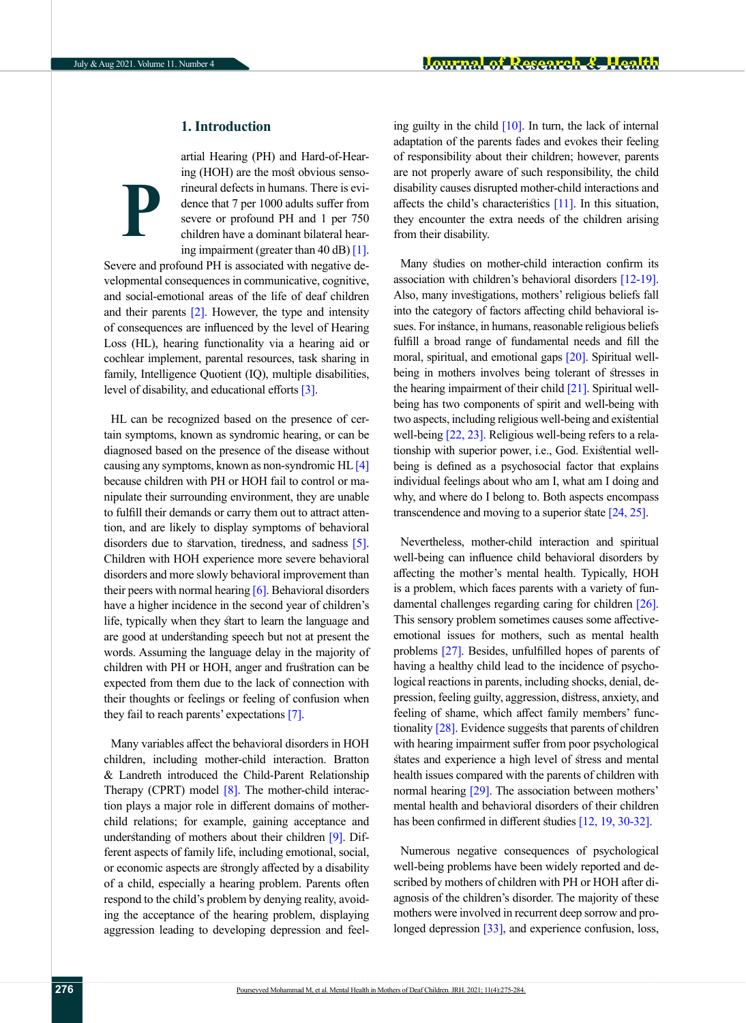**P**

# **1. Introduction**

artial Hearing (PH) and Hard-of-Hearing (HOH) are the most obvious sensorineural defects in humans. There is evidence that 7 per 1000 adults suffer from severe or profound PH and 1 per 750 children have a dominant bilateral hearing impairment (greater than 40 dB) [\[1\]](#page-7-0).

Severe and profound PH is associated with negative developmental consequences in communicative, cognitive, and social-emotional areas of the life of deaf children and their parents  $[2]$ . However, the type and intensity of consequences are influenced by the level of Hearing Loss (HL), hearing functionality via a hearing aid or cochlear implement, parental resources, task sharing in family, Intelligence Quotient (IQ), multiple disabilities, level of disability, and educational efforts [\[3\]](#page-7-2).

HL can be recognized based on the presence of certain symptoms, known as syndromic hearing, or can be diagnosed based on the presence of the disease without causing any symptoms, known as non-syndromic HL [\[4\]](#page-7-3)  because children with PH or HOH fail to control or manipulate their surrounding environment, they are unable to fulfill their demands or carry them out to attract attention, and are likely to display symptoms of behavioral disorders due to starvation, tiredness, and sadness [\[5\]](#page-7-4). Children with HOH experience more severe behavioral disorders and more slowly behavioral improvement than their peers with normal hearing  $[6]$ . Behavioral disorders have a higher incidence in the second year of children's life, typically when they start to learn the language and are good at understanding speech but not at present the words. Assuming the language delay in the majority of children with PH or HOH, anger and frustration can be expected from them due to the lack of connection with their thoughts or feelings or feeling of confusion when they fail to reach parents' expectations [\[7\]](#page-7-6).

Many variables affect the behavioral disorders in HOH children, including mother-child interaction. Bratton & Landreth introduced the Child-Parent Relationship Therapy (CPRT) model  $[8]$ . The mother-child interaction plays a major role in different domains of motherchild relations; for example, gaining acceptance and understanding of mothers about their children [9]. Different aspects of family life, including emotional, social, or economic aspects are strongly affected by a disability of a child, especially a hearing problem. Parents often respond to the child's problem by denying reality, avoiding the acceptance of the hearing problem, displaying aggression leading to developing depression and feeling guilty in the child  $[10]$ . In turn, the lack of internal adaptation of the parents fades and evokes their feeling of responsibility about their children; however, parents are not properly aware of such responsibility, the child disability causes disrupted mother-child interactions and affects the child's characteristics [\[11\]](#page-7-9). In this situation, they encounter the extra needs of the children arising from their disability.

Many studies on mother-child interaction confirm its association with children's behavioral disorders [\[12-19\]](#page-7-10). Also, many investigations, mothers' religious beliefs fall into the category of factors affecting child behavioral issues. For instance, in humans, reasonable religious beliefs fulfill a broad range of fundamental needs and fill the moral, spiritual, and emotional gaps [20]. Spiritual wellbeing in mothers involves being tolerant of stresses in the hearing impairment of their child [\[21\].](#page-8-0) Spiritual wellbeing has two components of spirit and well-being with two aspects, including religious well-being and existential well-being [\[22,](#page-8-1) [23\]](#page-8-2). Religious well-being refers to a relationship with superior power, i.e., God. Existential wellbeing is defined as a psychosocial factor that explains individual feelings about who am I, what am I doing and why, and where do I belong to. Both aspects encompass transcendence and moving to a superior state [\[24,](#page-8-3) [25\].](#page-8-4)

Nevertheless, mother-child interaction and spiritual well-being can influence child behavioral disorders by affecting the mother's mental health. Typically, HOH is a problem, which faces parents with a variety of fundamental challenges regarding caring for children [\[26\]](#page-8-5). This sensory problem sometimes causes some affectiveemotional issues for mothers, such as mental health problems [\[27\]](#page-8-6). Besides, unfulfilled hopes of parents of having a healthy child lead to the incidence of psychological reactions in parents, including shocks, denial, depression, feeling guilty, aggression, distress, anxiety, and feeling of shame, which affect family members' func-tionality [\[28\]](#page-8-7). Evidence suggests that parents of children with hearing impairment suffer from poor psychological states and experience a high level of stress and mental health issues compared with the parents of children with normal hearing [29]. The association between mothers' mental health and behavioral disorders of their children has been confirmed in different studies [\[12,](#page-7-10) [19,](#page-8-8) 30-32].

Numerous negative consequences of psychological well-being problems have been widely reported and described by mothers of children with PH or HOH after diagnosis of the children's disorder. The majority of these mothers were involved in recurrent deep sorrow and pro-longed depression [\[33\]](#page-8-9), and experience confusion, loss,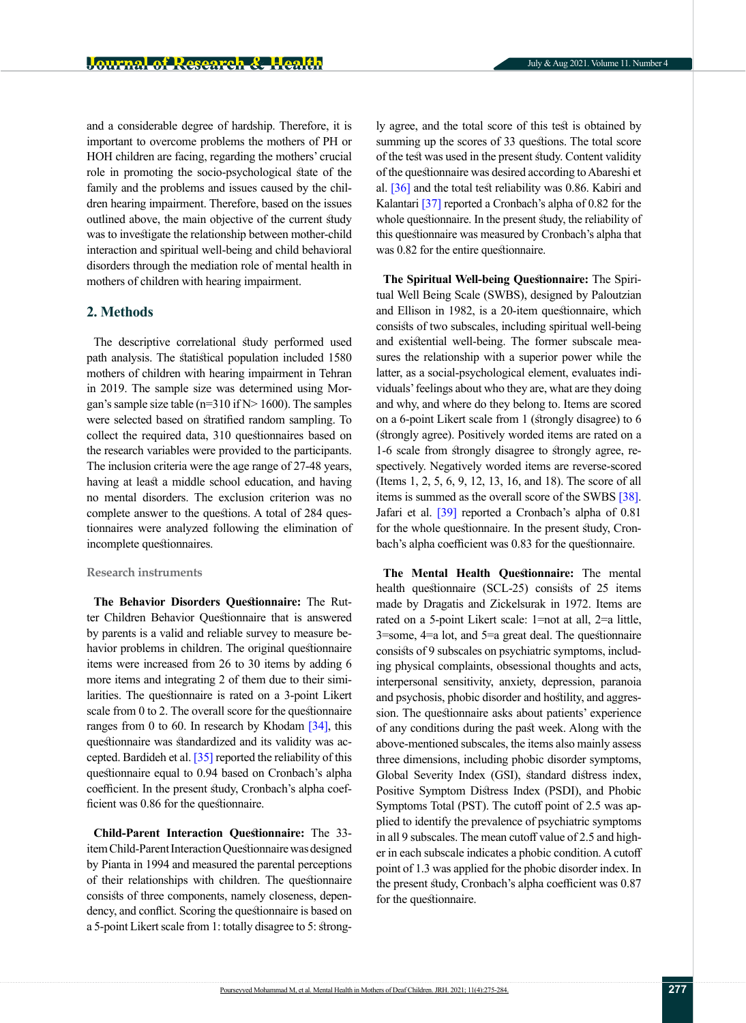and a considerable degree of hardship. Therefore, it is important to overcome problems the mothers of PH or HOH children are facing, regarding the mothers' crucial role in promoting the socio-psychological state of the family and the problems and issues caused by the children hearing impairment. Therefore, based on the issues outlined above, the main objective of the current study was to investigate the relationship between mother-child interaction and spiritual well-being and child behavioral disorders through the mediation role of mental health in mothers of children with hearing impairment.

# **2. Methods**

The descriptive correlational study performed used path analysis. The statistical population included 1580 mothers of children with hearing impairment in Tehran in 2019. The sample size was determined using Morgan's sample size table ( $n=310$  if N $> 1600$ ). The samples were selected based on stratified random sampling. To collect the required data, 310 questionnaires based on the research variables were provided to the participants. The inclusion criteria were the age range of 27-48 years, having at least a middle school education, and having no mental disorders. The exclusion criterion was no complete answer to the questions. A total of 284 questionnaires were analyzed following the elimination of incomplete questionnaires.

## **Research instruments**

**The Behavior Disorders Questionnaire:** The Rutter Children Behavior Questionnaire that is answered by parents is a valid and reliable survey to measure behavior problems in children. The original questionnaire items were increased from 26 to 30 items by adding 6 more items and integrating 2 of them due to their similarities. The questionnaire is rated on a 3-point Likert scale from 0 to 2. The overall score for the questionnaire ranges from 0 to 60. In research by Khodam  $[34]$ , this questionnaire was standardized and its validity was accepted. Bardideh et al. [\[35\]](#page-8-11) reported the reliability of this questionnaire equal to 0.94 based on Cronbach's alpha coefficient. In the present study, Cronbach's alpha coefficient was 0.86 for the questionnaire.

**Child-Parent Interaction Questionnaire:** The 33 item Child-Parent Interaction Questionnaire was designed by Pianta in 1994 and measured the parental perceptions of their relationships with children. The questionnaire consists of three components, namely closeness, dependency, and conflict. Scoring the questionnaire is based on a 5-point Likert scale from 1: totally disagree to 5: strongly agree, and the total score of this test is obtained by summing up the scores of 33 questions. The total score of the test was used in the present study. Content validity of the questionnaire was desired according to Abareshi et al. [\[36\]](#page-8-12) and the total test reliability was 0.86. Kabiri and Kalantari [\[37\]](#page-8-13) reported a Cronbach's alpha of 0.82 for the whole questionnaire. In the present study, the reliability of this questionnaire was measured by Cronbach's alpha that was 0.82 for the entire questionnaire.

**The Spiritual Well-being Questionnaire:** The Spiritual Well Being Scale (SWBS), designed by Paloutzian and Ellison in 1982, is a 20-item questionnaire, which consists of two subscales, including spiritual well-being and existential well-being. The former subscale measures the relationship with a superior power while the latter, as a social-psychological element, evaluates individuals' feelings about who they are, what are they doing and why, and where do they belong to. Items are scored on a 6-point Likert scale from 1 (strongly disagree) to 6 (strongly agree). Positively worded items are rated on a 1-6 scale from strongly disagree to strongly agree, respectively. Negatively worded items are reverse-scored (Items 1, 2, 5, 6, 9, 12, 13, 16, and 18). The score of all items is summed as the overall score of the SWBS [\[38\].](#page-8-14) Jafari et al. [\[39\]](#page-8-15) reported a Cronbach's alpha of 0.81 for the whole questionnaire. In the present study, Cronbach's alpha coefficient was 0.83 for the questionnaire.

**The Mental Health Questionnaire:** The mental health questionnaire (SCL-25) consists of 25 items made by Dragatis and Zickelsurak in 1972. Items are rated on a 5-point Likert scale: 1=not at all, 2=a little, 3=some, 4=a lot, and 5=a great deal. The questionnaire consists of 9 subscales on psychiatric symptoms, including physical complaints, obsessional thoughts and acts, interpersonal sensitivity, anxiety, depression, paranoia and psychosis, phobic disorder and hostility, and aggression. The questionnaire asks about patients' experience of any conditions during the past week. Along with the above-mentioned subscales, the items also mainly assess three dimensions, including phobic disorder symptoms, Global Severity Index (GSI), standard distress index, Positive Symptom Distress Index (PSDI), and Phobic Symptoms Total (PST). The cutoff point of 2.5 was applied to identify the prevalence of psychiatric symptoms in all 9 subscales. The mean cutoff value of 2.5 and higher in each subscale indicates a phobic condition. A cutoff point of 1.3 was applied for the phobic disorder index. In the present study, Cronbach's alpha coefficient was 0.87 for the questionnaire.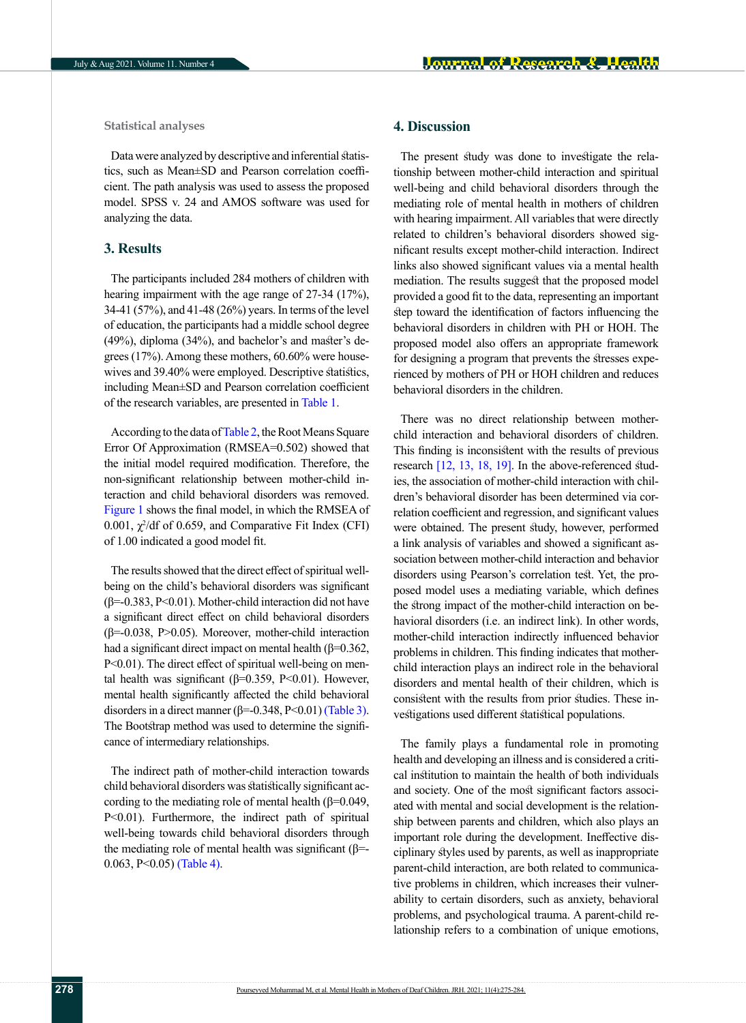**Statistical analyses**

Data were analyzed by descriptive and inferential statistics, such as Mean±SD and Pearson correlation coefficient. The path analysis was used to assess the proposed model. SPSS v. 24 and AMOS software was used for analyzing the data.

## **3. Results**

The participants included 284 mothers of children with hearing impairment with the age range of 27-34 (17%), 34-41 (57%), and 41-48 (26%) years. In terms of the level of education, the participants had a middle school degree (49%), diploma (34%), and bachelor's and master's degrees (17%). Among these mothers, 60.60% were housewives and 39.40% were employed. Descriptive statistics, including Mean±SD and Pearson correlation coefficient of the research variables, are presented in Table 1.

According to the data of [Table 2,](#page-4-0) the Root Means Square Error Of Approximation (RMSEA=0.502) showed that the initial model required modification. Therefore, the non-significant relationship between mother-child interaction and child behavioral disorders was removed. [Figure 1](#page-6-0) shows the final model, in which the RMSEA of  $0.001$ ,  $\chi^2$ /df of 0.659, and Comparative Fit Index (CFI) of 1.00 indicated a good model fit.

The results showed that the direct effect of spiritual wellbeing on the child's behavioral disorders was significant  $(\beta = 0.383, P < 0.01)$ . Mother-child interaction did not have a significant direct effect on child behavioral disorders (β=-0.038, P>0.05). Moreover, mother-child interaction had a significant direct impact on mental health ( $\beta$ =0.362, P<0.01). The direct effect of spiritual well-being on mental health was significant ( $β=0.359$ , P<0.01). However, mental health significantly affected the child behavioral disorders in a direct manner ( $\beta$ =-0.348, P<0.01) [\(Table 3\)](#page-5-0). The Bootstrap method was used to determine the significance of intermediary relationships.

The indirect path of mother-child interaction towards child behavioral disorders was statistically significant according to the mediating role of mental health (β=0.049, P<0.01). Furthermore, the indirect path of spiritual well-being towards child behavioral disorders through the mediating role of mental health was significant ( $\beta$ =-0.063, P<0.05) [\(Table 4\).](#page-5-1)

# **4. Discussion**

The present study was done to investigate the relationship between mother-child interaction and spiritual well-being and child behavioral disorders through the mediating role of mental health in mothers of children with hearing impairment. All variables that were directly related to children's behavioral disorders showed significant results except mother-child interaction. Indirect links also showed significant values via a mental health mediation. The results suggest that the proposed model provided a good fit to the data, representing an important step toward the identification of factors influencing the behavioral disorders in children with PH or HOH. The proposed model also offers an appropriate framework for designing a program that prevents the stresses experienced by mothers of PH or HOH children and reduces behavioral disorders in the children.

There was no direct relationship between motherchild interaction and behavioral disorders of children. This finding is inconsistent with the results of previous research [\[12,](#page-7-10) 13, [18,](#page-8-16) [19\]](#page-8-8). In the above-referenced studies, the association of mother-child interaction with children's behavioral disorder has been determined via correlation coefficient and regression, and significant values were obtained. The present study, however, performed a link analysis of variables and showed a significant association between mother-child interaction and behavior disorders using Pearson's correlation test. Yet, the proposed model uses a mediating variable, which defines the strong impact of the mother-child interaction on behavioral disorders (i.e. an indirect link). In other words, mother-child interaction indirectly influenced behavior problems in children. This finding indicates that motherchild interaction plays an indirect role in the behavioral disorders and mental health of their children, which is consistent with the results from prior studies. These investigations used different statistical populations.

The family plays a fundamental role in promoting health and developing an illness and is considered a critical institution to maintain the health of both individuals and society. One of the most significant factors associated with mental and social development is the relationship between parents and children, which also plays an important role during the development. Ineffective disciplinary styles used by parents, as well as inappropriate parent-child interaction, are both related to communicative problems in children, which increases their vulnerability to certain disorders, such as anxiety, behavioral problems, and psychological trauma. A parent-child relationship refers to a combination of unique emotions,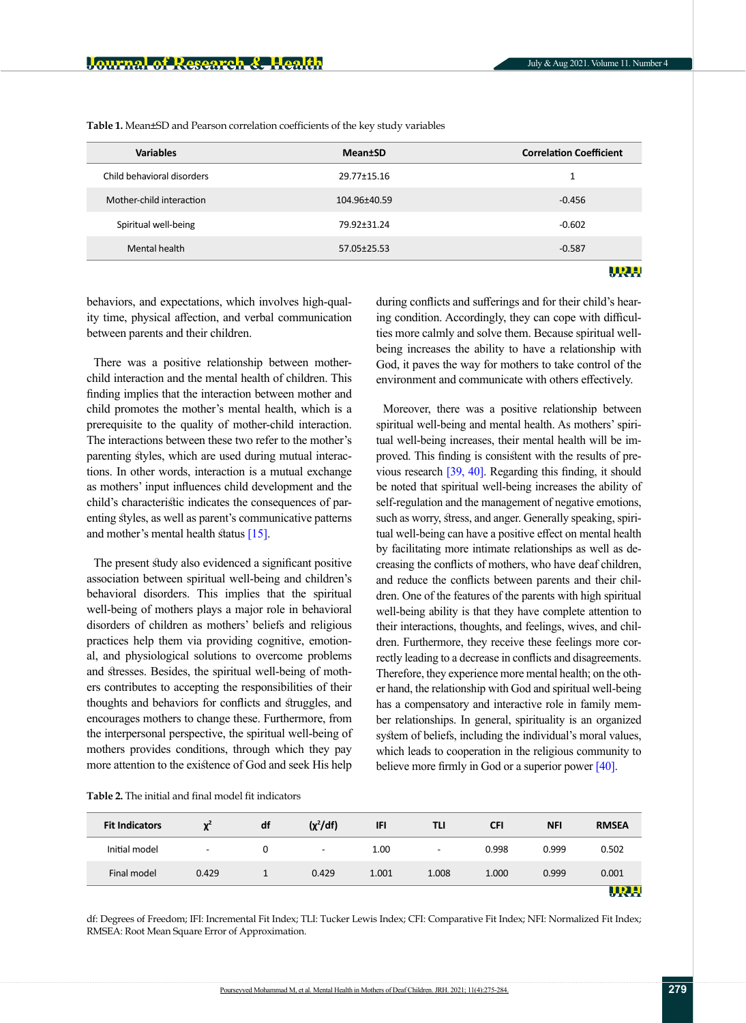| <b>Variables</b>           | <b>Mean</b> tSD | <b>Correlation Coefficient</b> |
|----------------------------|-----------------|--------------------------------|
| Child behavioral disorders | 29.77±15.16     | 1                              |
| Mother-child interaction   | 104.96±40.59    | $-0.456$                       |
| Spiritual well-being       | 79.92±31.24     | $-0.602$                       |
| Mental health              | 57.05±25.53     | $-0.587$                       |
|                            |                 |                                |

**Table 1.** Mean±SD and Pearson correlation coefficients of the key study variables

behaviors, and expectations, which involves high-quality time, physical affection, and verbal communication between parents and their children.

There was a positive relationship between motherchild interaction and the mental health of children. This finding implies that the interaction between mother and child promotes the mother's mental health, which is a prerequisite to the quality of mother-child interaction. The interactions between these two refer to the mother's parenting styles, which are used during mutual interactions. In other words, interaction is a mutual exchange as mothers' input influences child development and the child's characteristic indicates the consequences of parenting styles, as well as parent's communicative patterns and mother's mental health status [\[15\]](#page-7-11).

The present study also evidenced a significant positive association between spiritual well-being and children's behavioral disorders. This implies that the spiritual well-being of mothers plays a major role in behavioral disorders of children as mothers' beliefs and religious practices help them via providing cognitive, emotional, and physiological solutions to overcome problems and stresses. Besides, the spiritual well-being of mothers contributes to accepting the responsibilities of their thoughts and behaviors for conflicts and struggles, and encourages mothers to change these. Furthermore, from the interpersonal perspective, the spiritual well-being of mothers provides conditions, through which they pay more attention to the existence of God and seek His help

during conflicts and sufferings and for their child's hearing condition. Accordingly, they can cope with difficulties more calmly and solve them. Because spiritual wellbeing increases the ability to have a relationship with God, it paves the way for mothers to take control of the environment and communicate with others effectively.

Moreover, there was a positive relationship between spiritual well-being and mental health. As mothers' spiritual well-being increases, their mental health will be improved. This finding is consistent with the results of previous research [\[39,](#page-8-15) [40\]](#page-8-17). Regarding this finding, it should be noted that spiritual well-being increases the ability of self-regulation and the management of negative emotions, such as worry, stress, and anger. Generally speaking, spiritual well-being can have a positive effect on mental health by facilitating more intimate relationships as well as decreasing the conflicts of mothers, who have deaf children, and reduce the conflicts between parents and their children. One of the features of the parents with high spiritual well-being ability is that they have complete attention to their interactions, thoughts, and feelings, wives, and children. Furthermore, they receive these feelings more correctly leading to a decrease in conflicts and disagreements. Therefore, they experience more mental health; on the other hand, the relationship with God and spiritual well-being has a compensatory and interactive role in family member relationships. In general, spirituality is an organized system of beliefs, including the individual's moral values, which leads to cooperation in the religious community to believe more firmly in God or a superior power [\[40\].](#page-8-17)

<span id="page-4-0"></span>**Table 2.** The initial and final model fit indicators

| <b>Fit Indicators</b> | $\mathbf{y}^2$           | df | $(\chi^2/df)$ | <b>IFI</b> | TLI                      | <b>CFI</b> | <b>NFI</b> | <b>RMSEA</b> |
|-----------------------|--------------------------|----|---------------|------------|--------------------------|------------|------------|--------------|
| Initial model         | $\overline{\phantom{a}}$ | 0  | -             | 1.00       | $\overline{\phantom{a}}$ | 0.998      | 0.999      | 0.502        |
| Final model           | 0.429                    |    | 0.429         | 1.001      | 1.008                    | 1.000      | 0.999      | 0.001        |
|                       |                          |    |               |            |                          |            |            | WRX          |

df: Degrees of Freedom; IFI: Incremental Fit Index; TLI: Tucker Lewis Index; CFI: Comparative Fit Index; NFI: Normalized Fit Index; RMSEA: Root Mean Square Error of Approximation.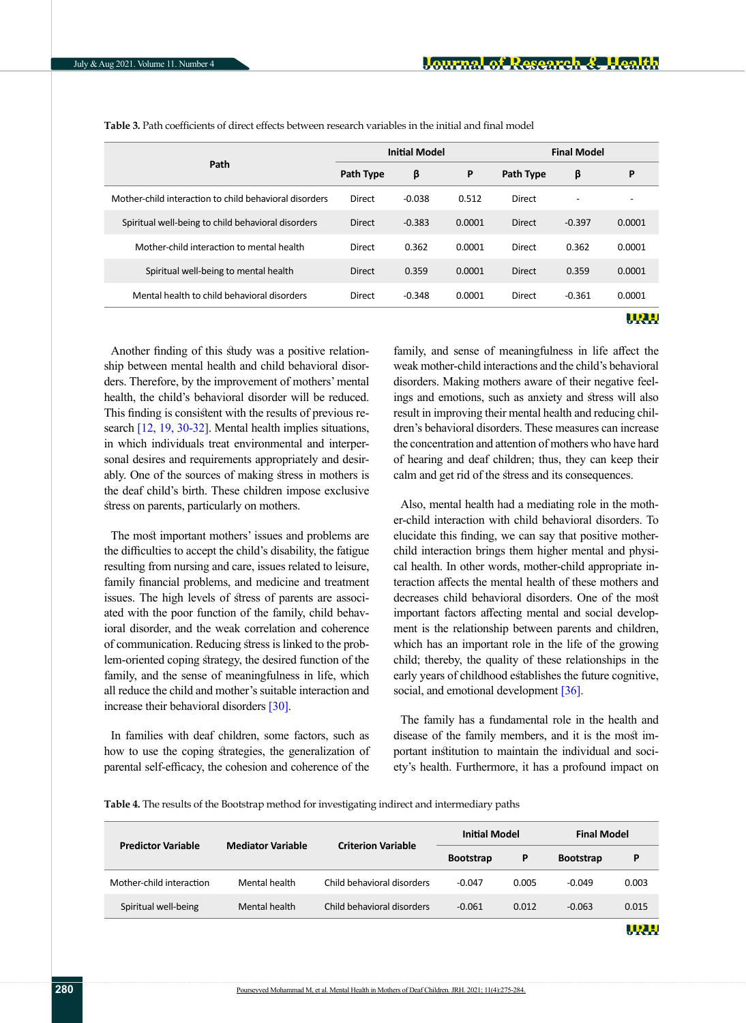|                                                        | <b>Initial Model</b> |          |        | <b>Final Model</b> |          |        |
|--------------------------------------------------------|----------------------|----------|--------|--------------------|----------|--------|
| Path                                                   | <b>Path Type</b>     | β        | P      | <b>Path Type</b>   | β        | P      |
| Mother-child interaction to child behavioral disorders | Direct               | $-0.038$ | 0.512  | Direct             |          |        |
| Spiritual well-being to child behavioral disorders     | <b>Direct</b>        | $-0.383$ | 0.0001 | Direct             | $-0.397$ | 0.0001 |
| Mother-child interaction to mental health              | Direct               | 0.362    | 0.0001 | Direct             | 0.362    | 0.0001 |
| Spiritual well-being to mental health                  | <b>Direct</b>        | 0.359    | 0.0001 | Direct             | 0.359    | 0.0001 |
| Mental health to child behavioral disorders            | Direct               | $-0.348$ | 0.0001 | Direct             | $-0.361$ | 0.0001 |
|                                                        |                      |          |        |                    |          | URH.   |

<span id="page-5-0"></span>**Table 3.** Path coefficients of direct effects between research variables in the initial and final model

Another finding of this study was a positive relationship between mental health and child behavioral disorders. Therefore, by the improvement of mothers' mental health, the child's behavioral disorder will be reduced. This finding is consistent with the results of previous re-search [\[12,](#page-7-10) [19,](#page-8-8) 30-32]. Mental health implies situations, in which individuals treat environmental and interpersonal desires and requirements appropriately and desirably. One of the sources of making stress in mothers is the deaf child's birth. These children impose exclusive stress on parents, particularly on mothers.

The most important mothers' issues and problems are the difficulties to accept the child's disability, the fatigue resulting from nursing and care, issues related to leisure, family financial problems, and medicine and treatment issues. The high levels of stress of parents are associated with the poor function of the family, child behavioral disorder, and the weak correlation and coherence of communication. Reducing stress is linked to the problem-oriented coping strategy, the desired function of the family, and the sense of meaningfulness in life, which all reduce the child and mother's suitable interaction and increase their behavioral disorders [30].

In families with deaf children, some factors, such as how to use the coping strategies, the generalization of parental self-efficacy, the cohesion and coherence of the

family, and sense of meaningfulness in life affect the weak mother-child interactions and the child's behavioral disorders. Making mothers aware of their negative feelings and emotions, such as anxiety and stress will also result in improving their mental health and reducing children's behavioral disorders. These measures can increase the concentration and attention of mothers who have hard of hearing and deaf children; thus, they can keep their calm and get rid of the stress and its consequences.

Also, mental health had a mediating role in the mother-child interaction with child behavioral disorders. To elucidate this finding, we can say that positive motherchild interaction brings them higher mental and physical health. In other words, mother-child appropriate interaction affects the mental health of these mothers and decreases child behavioral disorders. One of the most important factors affecting mental and social development is the relationship between parents and children, which has an important role in the life of the growing child; thereby, the quality of these relationships in the early years of childhood establishes the future cognitive, social, and emotional development [\[36\].](#page-8-12)

The family has a fundamental role in the health and disease of the family members, and it is the most important institution to maintain the individual and society's health. Furthermore, it has a profound impact on

<span id="page-5-1"></span>**Table 4.** The results of the Bootstrap method for investigating indirect and intermediary paths

| <b>Predictor Variable</b> | <b>Mediator Variable</b> | <b>Criterion Variable</b>  | <b>Initial Model</b> |       | <b>Final Model</b> |       |
|---------------------------|--------------------------|----------------------------|----------------------|-------|--------------------|-------|
|                           |                          |                            | <b>Bootstrap</b>     | P     | <b>Bootstrap</b>   | P     |
| Mother-child interaction  | Mental health            | Child behavioral disorders | $-0.047$             | 0.005 | $-0.049$           | 0.003 |
| Spiritual well-being      | Mental health            | Child behavioral disorders | $-0.061$             | 0.012 | $-0.063$           | 0.015 |
|                           |                          |                            |                      |       |                    | WRL   |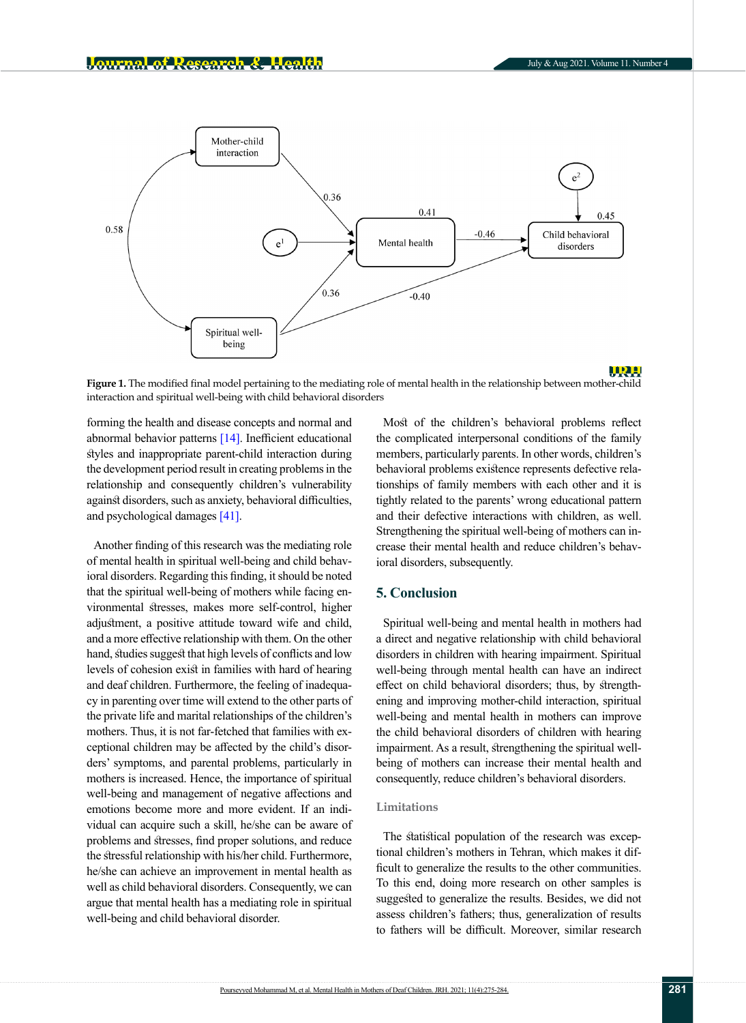

<span id="page-6-0"></span>**Figure 1.** The modified final model pertaining to the mediating role of mental health in the relationship between mother-child interaction and spiritual well-being with child behavioral disorders

forming the health and disease concepts and normal and abnormal behavior patterns [\[14\].](#page-7-12) Inefficient educational styles and inappropriate parent-child interaction during the development period result in creating problems in the relationship and consequently children's vulnerability against disorders, such as anxiety, behavioral difficulties, and psychological damages [\[41\]](#page-8-18).

Another finding of this research was the mediating role of mental health in spiritual well-being and child behavioral disorders. Regarding this finding, it should be noted that the spiritual well-being of mothers while facing environmental stresses, makes more self-control, higher adjustment, a positive attitude toward wife and child, and a more effective relationship with them. On the other hand, studies suggest that high levels of conflicts and low levels of cohesion exist in families with hard of hearing and deaf children. Furthermore, the feeling of inadequacy in parenting over time will extend to the other parts of the private life and marital relationships of the children's mothers. Thus, it is not far-fetched that families with exceptional children may be affected by the child's disorders' symptoms, and parental problems, particularly in mothers is increased. Hence, the importance of spiritual well-being and management of negative affections and emotions become more and more evident. If an individual can acquire such a skill, he/she can be aware of problems and stresses, find proper solutions, and reduce the stressful relationship with his/her child. Furthermore, he/she can achieve an improvement in mental health as well as child behavioral disorders. Consequently, we can argue that mental health has a mediating role in spiritual well-being and child behavioral disorder.

Most of the children's behavioral problems reflect the complicated interpersonal conditions of the family members, particularly parents. In other words, children's behavioral problems existence represents defective relationships of family members with each other and it is tightly related to the parents' wrong educational pattern and their defective interactions with children, as well. Strengthening the spiritual well-being of mothers can increase their mental health and reduce children's behavioral disorders, subsequently.

## **5. Conclusion**

Spiritual well-being and mental health in mothers had a direct and negative relationship with child behavioral disorders in children with hearing impairment. Spiritual well-being through mental health can have an indirect effect on child behavioral disorders; thus, by strengthening and improving mother-child interaction, spiritual well-being and mental health in mothers can improve the child behavioral disorders of children with hearing impairment. As a result, strengthening the spiritual wellbeing of mothers can increase their mental health and consequently, reduce children's behavioral disorders.

## **Limitations**

The statistical population of the research was exceptional children's mothers in Tehran, which makes it difficult to generalize the results to the other communities. To this end, doing more research on other samples is suggested to generalize the results. Besides, we did not assess children's fathers; thus, generalization of results to fathers will be difficult. Moreover, similar research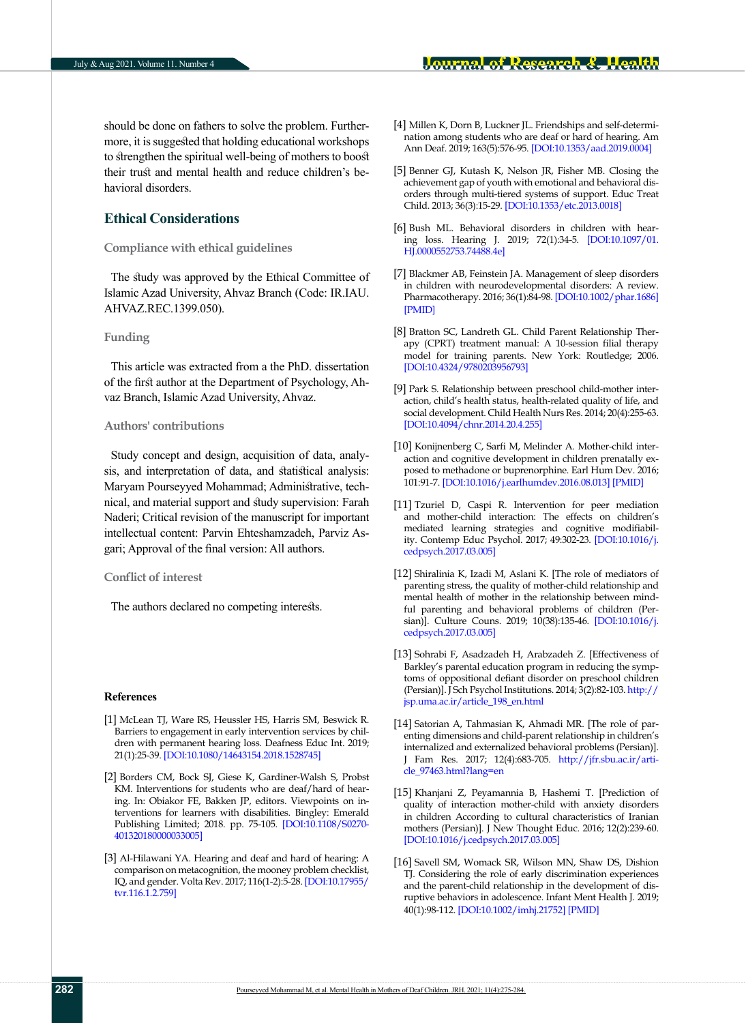should be done on fathers to solve the problem. Furthermore, it is suggested that holding educational workshops to strengthen the spiritual well-being of mothers to boost their trust and mental health and reduce children's behavioral disorders.

## **Ethical Considerations**

#### **Compliance with ethical guidelines**

The study was approved by the Ethical Committee of Islamic Azad University, Ahvaz Branch (Code: IR.IAU. AHVAZ.REC.1399.050).

## **Funding**

This article was extracted from a the PhD. dissertation of the first author at the Department of Psychology, Ahvaz Branch, Islamic Azad University, Ahvaz.

## **Authors' contributions**

Study concept and design, acquisition of data, analysis, and interpretation of data, and statistical analysis: Maryam Pourseyyed Mohammad; Administrative, technical, and material support and study supervision: Farah Naderi; Critical revision of the manuscript for important intellectual content: Parvin Ehteshamzadeh, Parviz Asgari; Approval of the final version: All authors.

## **Conflict of interest**

The authors declared no competing interests.

#### **References**

- <span id="page-7-0"></span>[1] McLean TJ, Ware RS, Heussler HS, Harris SM, Beswick R. Barriers to engagement in early intervention services by children with permanent hearing loss. Deafness Educ Int. 2019; 21(1):25-39. [\[DOI:10.1080/14643154.2018.1528745\]](https://doi.org/10.1080/14643154.2018.1528745)
- <span id="page-7-1"></span>[2] Borders CM, Bock SJ, Giese K, Gardiner-Walsh S, Probst KM. Interventions for students who are deaf/hard of hearing. In: Obiakor FE, Bakken JP, editors. Viewpoints on interventions for learners with disabilities. Bingley: Emerald Publishing Limited; 2018. pp. 75-105. [\[DOI:10.1108/S0270-](https://doi.org/10.1108/S0270-401320180000033005) [401320180000033005](https://doi.org/10.1108/S0270-401320180000033005)]
- <span id="page-7-2"></span>[3] Al-Hilawani YA. Hearing and deaf and hard of hearing: A comparison on metacognition, the mooney problem checklist, IQ, and gender. Volta Rev. 2017; 116(1-2):5-28. [\[DOI:10.17955/](https://doi.org/10.17955/tvr.116.1.2.759) [tvr.116.1.2.759\]](https://doi.org/10.17955/tvr.116.1.2.759)
- <span id="page-7-3"></span>[4] Millen K, Dorn B, Luckner JL. Friendships and self-determination among students who are deaf or hard of hearing. Am Ann Deaf. 2019; 163(5):576-95. [[DOI:10.1353/aad.2019.0004](https://doi.org/10.1353/aad.2019.0004)]
- <span id="page-7-4"></span>[5] Benner GJ, Kutash K, Nelson JR, Fisher MB. Closing the achievement gap of youth with emotional and behavioral disorders through multi-tiered systems of support. Educ Treat Child. 2013; 36(3):15-29. [\[DOI:10.1353/etc.2013.0018\]](https://doi.org/10.1353/etc.2013.0018)
- <span id="page-7-5"></span>[6] Bush ML. Behavioral disorders in children with hearing loss. Hearing J. 2019; 72(1):34-5. [\[DOI:10.1097/01.](https://doi.org/10.1097/01.HJ.0000552753.74488.4e) [HJ.0000552753.74488.4e](https://doi.org/10.1097/01.HJ.0000552753.74488.4e)]
- <span id="page-7-6"></span>[7] Blackmer AB, Feinstein JA. Management of sleep disorders in children with neurodevelopmental disorders: A review. Pharmacotherapy. 2016; 36(1):84-98. [\[DOI:10.1002/phar.1686\]](https://doi.org/10.1002/phar.1686) [[PMID](https://pubmed.ncbi.nlm.nih.gov/26799351/)]
- <span id="page-7-7"></span>[8] Bratton SC, Landreth GL. Child Parent Relationship Therapy (CPRT) treatment manual: A 10-session filial therapy model for training parents. New York: Routledge; 2006. [[DOI:10.4324/9780203956793](https://doi.org/10.4324/9780203956793)]
- [9] Park S. Relationship between preschool child-mother interaction, child's health status, health-related quality of life, and social development. Child Health Nurs Res. 2014; 20(4):255-63. [[DOI:10.4094/chnr.2014.20.4.255\]](https://doi.org/10.4094/chnr.2014.20.4.255)
- <span id="page-7-8"></span>[10] Konijnenberg C, Sarfi M, Melinder A. Mother-child interaction and cognitive development in children prenatally exposed to methadone or buprenorphine. Earl Hum Dev. 2016; 101:91-7. [\[DOI:10.1016/j.earlhumdev.2016.08.013](https://doi.org/10.1016/j.earlhumdev.2016.08.013)] [[PMID](https://pubmed.ncbi.nlm.nih.gov/27614330/)]
- <span id="page-7-9"></span>[11] Tzuriel D, Caspi R. Intervention for peer mediation and mother-child interaction: The effects on children's mediated learning strategies and cognitive modifiability. Contemp Educ Psychol. 2017; 49:302-23. [\[DOI:10.1016/j.](https://doi.org/10.1016/j.cedpsych.2017.03.005) [cedpsych.2017.03.005\]](https://doi.org/10.1016/j.cedpsych.2017.03.005)
- <span id="page-7-10"></span>[12] Shiralinia K, Izadi M, Aslani K. [The role of mediators of parenting stress, the quality of mother-child relationship and mental health of mother in the relationship between mindful parenting and behavioral problems of children (Persian)]. Culture Couns. 2019; 10(38):135-46. [\[DOI:10.1016/j.](https://doi.org/10.22054/QCCPC.2019.36302.1989) [cedpsych.2017.03.005\]](https://doi.org/10.22054/QCCPC.2019.36302.1989)
- [13] Sohrabi F, Asadzadeh H, Arabzadeh Z. [Effectiveness of Barkley's parental education program in reducing the symptoms of oppositional defiant disorder on preschool children (Persian)]. J Sch Psychol Institutions. 2014; 3(2):82-103. [http://](http://jsp.uma.ac.ir/article_198_en.html) [jsp.uma.ac.ir/article\\_198\\_en.html](http://jsp.uma.ac.ir/article_198_en.html)
- <span id="page-7-12"></span>[14] Satorian A, Tahmasian K, Ahmadi MR. [The role of parenting dimensions and child-parent relationship in children's internalized and externalized behavioral problems (Persian)]. J Fam Res. 2017; 12(4):683-705[. http://jfr.sbu.ac.ir/arti](https://jfr.sbu.ac.ir/article_97463.html?lang=en)[cle\\_97463.html?lang=en](https://jfr.sbu.ac.ir/article_97463.html?lang=en)
- <span id="page-7-11"></span>[15] Khanjani Z, Peyamannia B, Hashemi T. [Prediction of quality of interaction mother-child with anxiety disorders in children According to cultural characteristics of Iranian mothers (Persian)]. J New Thought Educ. 2016; 12(2):239-60. [[DOI:10.1016/j.cedpsych.2017.03.005](https://doi.org/10.22051/JONTOE.2016.2398)]
- [16] Savell SM, Womack SR, Wilson MN, Shaw DS, Dishion TJ. Considering the role of early discrimination experiences and the parent-child relationship in the development of disruptive behaviors in adolescence. Infant Ment Health J. 2019; 40(1):98-112. [[DOI:10.1002/imhj.21752\]](https://doi.org/10.1002/imhj.21752) [[PMID](https://pubmed.ncbi.nlm.nih.gov/30586478/)]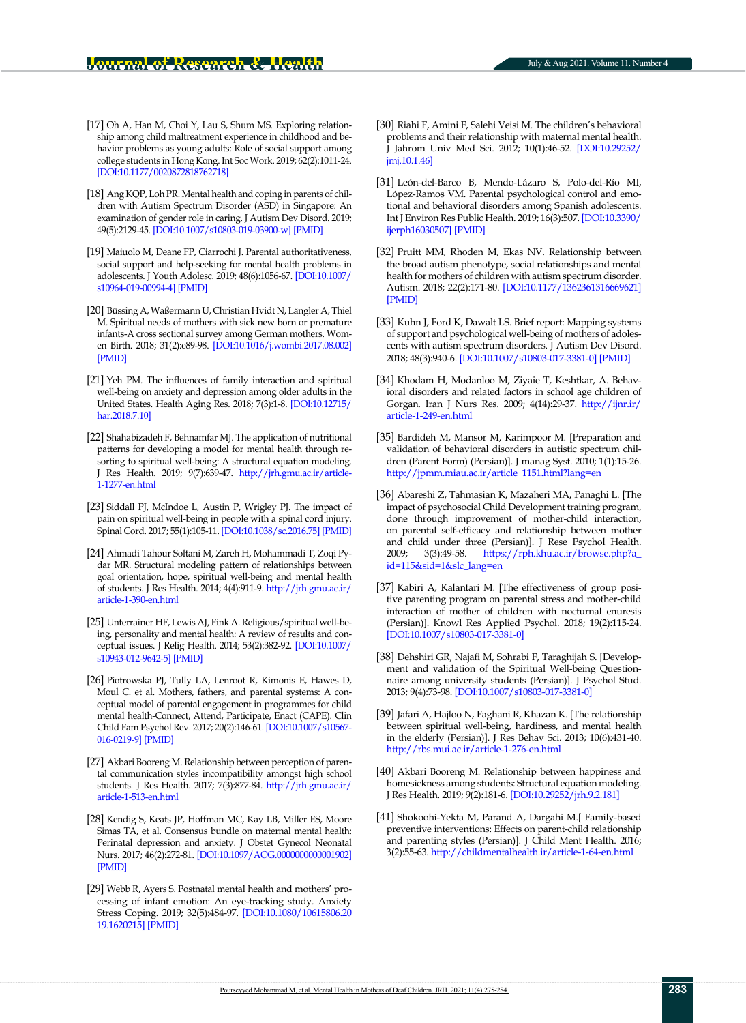- [17] Oh A, Han M, Choi Y, Lau S, Shum MS. Exploring relationship among child maltreatment experience in childhood and behavior problems as young adults: Role of social support among college students in Hong Kong. Int Soc Work. 2019; 62(2):1011-24. [[DOI:10.1177/0020872818762718\]](https://doi.org/10.1177/0020872818762718)
- <span id="page-8-16"></span>[18] Ang KQP, Loh PR. Mental health and coping in parents of children with Autism Spectrum Disorder (ASD) in Singapore: An examination of gender role in caring. J Autism Dev Disord. 2019; 49(5):2129-45. [\[DOI:10.1007/s10803-019-03900-w\]](https://doi.org/10.1007/s10803-019-03900-w) [[PMID](https://pubmed.ncbi.nlm.nih.gov/30706349/)]
- <span id="page-8-8"></span>[19] Maiuolo M, Deane FP, Ciarrochi J. Parental authoritativeness, social support and help-seeking for mental health problems in adolescents. J Youth Adolesc. 2019; 48(6):1056-67. [[DOI:10.1007/](https://doi.org/10.1007/s10964-019-00994-4) [s10964-019-00994-4](https://doi.org/10.1007/s10964-019-00994-4)] [[PMID](https://pubmed.ncbi.nlm.nih.gov/30783955/)]
- [20] Büssing A, Waßermann U, Christian Hvidt N, Längler A, Thiel M. Spiritual needs of mothers with sick new born or premature infants-A cross sectional survey among German mothers. Women Birth. 2018; 31(2):e89-98. [\[DOI:10.1016/j.wombi.2017.08.002](https://doi.org/10.1016/j.wombi.2017.08.002)] [[PMID](https://pubmed.ncbi.nlm.nih.gov/28844865/)]
- <span id="page-8-0"></span>[21] Yeh PM. The influences of family interaction and spiritual well-being on anxiety and depression among older adults in the United States. Health Aging Res. 2018; 7(3):1-8. [[DOI:10.12715/](https://doi.org/10.12715/har.2018.7.10) [har.2018.7.10](https://doi.org/10.12715/har.2018.7.10)]
- <span id="page-8-1"></span>[22] Shahabizadeh F, Behnamfar MJ. The application of nutritional patterns for developing a model for mental health through resorting to spiritual well-being: A structural equation modeling. J Res Health. 2019; 9(7):639-47. [http://jrh.gmu.ac.ir/article-](http://jrh.gmu.ac.ir/article-1-1277-en.html)[1-1277-en.html](http://jrh.gmu.ac.ir/article-1-1277-en.html)
- <span id="page-8-2"></span>[23] Siddall PJ, McIndoe L, Austin P, Wrigley PJ. The impact of pain on spiritual well-being in people with a spinal cord injury. Spinal Cord. 2017; 55(1):105-11. [\[DOI:10.1038/sc.2016.75](https://doi.org/10.1038/sc.2016.75)] [[PMID](https://pubmed.ncbi.nlm.nih.gov/27241444/)]
- <span id="page-8-3"></span>[24] Ahmadi Tahour Soltani M, Zareh H, Mohammadi T, Zoqi Pydar MR. Structural modeling pattern of relationships between goal orientation, hope, spiritual well-being and mental health of students. J Res Health. 2014; 4(4):911-9. [http://jrh.gmu.ac.ir/](http://jrh.gmu.ac.ir/article-1-390-en.html) [article-1-390-en.html](http://jrh.gmu.ac.ir/article-1-390-en.html)
- <span id="page-8-4"></span>[25] Unterrainer HF, Lewis AJ, Fink A. Religious/spiritual well-being, personality and mental health: A review of results and conceptual issues. J Relig Health. 2014; 53(2):382-92. [[DOI:10.1007/](https://doi.org/10.1007/s10943-012-9642-5) [s10943-012-9642-5](https://doi.org/10.1007/s10943-012-9642-5)] [[PMID](https://pubmed.ncbi.nlm.nih.gov/22965652/)]
- <span id="page-8-5"></span>[26] Piotrowska PJ, Tully LA, Lenroot R, Kimonis E, Hawes D, Moul C. et al. Mothers, fathers, and parental systems: A conceptual model of parental engagement in programmes for child mental health-Connect, Attend, Participate, Enact (CAPE). Clin Child Fam Psychol Rev. 2017; 20(2):146-61. [[DOI:10.1007/s10567-](https://doi.org/10.1007/s10567-016-0219-9) [016-0219-9\]](https://doi.org/10.1007/s10567-016-0219-9) [[PMID](https://pubmed.ncbi.nlm.nih.gov/27914017/)]
- <span id="page-8-6"></span>[27] Akbari Booreng M. Relationship between perception of parental communication styles incompatibility amongst high school students. J Res Health. 2017; 7(3):877-84. [http://jrh.gmu.ac.ir/](http://jrh.gmu.ac.ir/article-1-513-en.html) [article-1-513-en.html](http://jrh.gmu.ac.ir/article-1-513-en.html)
- <span id="page-8-7"></span>[28] Kendig S, Keats JP, Hoffman MC, Kay LB, Miller ES, Moore Simas TA, et al. Consensus bundle on maternal mental health: Perinatal depression and anxiety. J Obstet Gynecol Neonatal Nurs. 2017; 46(2):272-81. [\[DOI:10.1097/AOG.0000000000001902](https://doi.org/10.1097/AOG.0000000000001902)] [[PMID](https://pubmed.ncbi.nlm.nih.gov/28190757/)]
- [29] Webb R, Ayers S. Postnatal mental health and mothers' processing of infant emotion: An eye-tracking study. Anxiety Stress Coping. 2019; 32(5):484-97. [[DOI:10.1080/10615806.20](https://doi.org/10.1080/10615806.2019.1620215) [19.1620215](https://doi.org/10.1080/10615806.2019.1620215)] [[PMID](https://pubmed.ncbi.nlm.nih.gov/31117817/)]
- [30] Riahi F, Amini F, Salehi Veisi M. The children's behavioral problems and their relationship with maternal mental health. J Jahrom Univ Med Sci. 2012; 10(1):46-52. [\[DOI:10.29252/](https://doi.org/10.29252/jmj.10.1.46) [jmj.10.1.46](https://doi.org/10.29252/jmj.10.1.46)]
- [31] León-del-Barco B, Mendo-Lázaro S, Polo-del-Río MI, López-Ramos VM. Parental psychological control and emotional and behavioral disorders among Spanish adolescents. Int J Environ Res Public Health. 2019; 16(3):507. [\[DOI:10.3390/](https://doi.org/10.3390/ijerph16030507) [ijerph16030507\]](https://doi.org/10.3390/ijerph16030507) [[PMID](https://pubmed.ncbi.nlm.nih.gov/30759723/)]
- [32] Pruitt MM, Rhoden M, Ekas NV. Relationship between the broad autism phenotype, social relationships and mental health for mothers of children with autism spectrum disorder. Autism. 2018; 22(2):171-80. [[DOI:10.1177/1362361316669621\]](https://doi.org/10.1177/1362361316669621) [[PMID](https://pubmed.ncbi.nlm.nih.gov/29490487/)]
- <span id="page-8-9"></span>[33] Kuhn J, Ford K, Dawalt LS. Brief report: Mapping systems of support and psychological well-being of mothers of adolescents with autism spectrum disorders. J Autism Dev Disord. 2018; 48(3):940-6. [\[DOI:10.1007/s10803-017-3381-0](https://doi.org/10.1007/s10803-017-3381-0)] [[PMID](https://pubmed.ncbi.nlm.nih.gov/29164438/)]
- <span id="page-8-10"></span>[34] Khodam H, Modanloo M, Ziyaie T, Keshtkar, A. Behavioral disorders and related factors in school age children of Gorgan. Iran J Nurs Res. 2009; 4(14):29-37. [http://ijnr.ir/](http://ijnr.ir/article-1-249-en.html) [article-1-249-en.html](http://ijnr.ir/article-1-249-en.html)
- <span id="page-8-11"></span>[35] Bardideh M, Mansor M, Karimpoor M. [Preparation and validation of behavioral disorders in autistic spectrum children (Parent Form) (Persian)]. J manag Syst. 2010; 1(1):15-26. [http://jpmm.miau.ac.ir/article\\_1151.html?lang=en](http://jpmm.miau.ac.ir/article_1151.html?lang=en)
- <span id="page-8-12"></span>[36] Abareshi Z, Tahmasian K, Mazaheri MA, Panaghi L. [The impact of psychosocial Child Development training program, done through improvement of mother-child interaction, on parental self-efficacy and relationship between mother and child under three (Persian)]. J Rese Psychol Health. 2009; 3(3):49-58. [https://rph.khu.ac.ir/browse.php?a\\_](https://rph.khu.ac.ir/article-1-115-en.html) [id=115&sid=1&slc\\_lang=en](https://rph.khu.ac.ir/article-1-115-en.html)
- <span id="page-8-13"></span>[37] Kabiri A, Kalantari M. [The effectiveness of group positive parenting program on parental stress and mother-child interaction of mother of children with nocturnal enuresis (Persian)]. Knowl Res Applied Psychol. 2018; 19(2):115-24. [[DOI:10.1007/s10803-017-3381-0](https://doi.org/10.30486/JSRP.2018.543270)]
- <span id="page-8-14"></span>[38] Dehshiri GR, Najafi M, Sohrabi F, Taraghijah S. [Development and validation of the Spiritual Well-being Questionnaire among university students (Persian)]. J Psychol Stud. 2013; 9(4):73-98. [\[DOI:10.1007/s10803-017-3381-0\]](https://doi.org/10.22051/PSY.2014.1759)
- <span id="page-8-15"></span>[39] Jafari A, Hajloo N, Faghani R, Khazan K. [The relationship between spiritual well-being, hardiness, and mental health in the elderly (Persian)]. J Res Behav Sci. 2013; 10(6):431-40. <http://rbs.mui.ac.ir/article-1-276-en.html>
- <span id="page-8-17"></span>[40] Akbari Booreng M. Relationship between happiness and homesickness among students: Structural equation modeling. J Res Health. 2019; 9(2):181-6. [[DOI:10.29252/jrh.9.2.181\]](https://doi.org/10.29252/jrh.9.2.181)
- <span id="page-8-18"></span>[41] Shokoohi-Yekta M, Parand A, Dargahi M.[ Family-based preventive interventions: Effects on parent-child relationship and parenting styles (Persian)]. J Child Ment Health. 2016; 3(2):55-63.<http://childmentalhealth.ir/article-1-64-en.html>